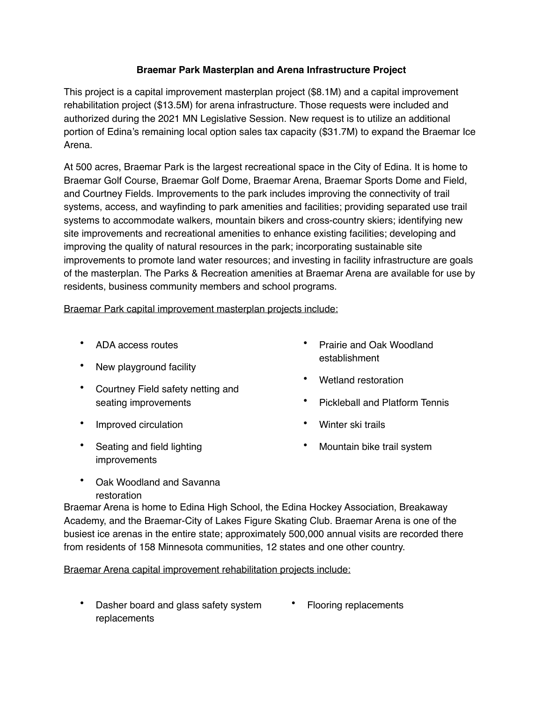## **Braemar Park Masterplan and Arena Infrastructure Project**

This project is a capital improvement masterplan project (\$8.1M) and a capital improvement rehabilitation project (\$13.5M) for arena infrastructure. Those requests were included and authorized during the 2021 MN Legislative Session. New request is to utilize an additional portion of Edina's remaining local option sales tax capacity (\$31.7M) to expand the Braemar Ice Arena.

At 500 acres, Braemar Park is the largest recreational space in the City of Edina. It is home to Braemar Golf Course, Braemar Golf Dome, Braemar Arena, Braemar Sports Dome and Field, and Courtney Fields. Improvements to the park includes improving the connectivity of trail systems, access, and wayfinding to park amenities and facilities; providing separated use trail systems to accommodate walkers, mountain bikers and cross-country skiers; identifying new site improvements and recreational amenities to enhance existing facilities; developing and improving the quality of natural resources in the park; incorporating sustainable site improvements to promote land water resources; and investing in facility infrastructure are goals of the masterplan. The Parks & Recreation amenities at Braemar Arena are available for use by residents, business community members and school programs.

Braemar Park capital improvement masterplan projects include:

- ADA access routes
- New playground facility
- Courtney Field safety netting and seating improvements
- Improved circulation
- Seating and field lighting improvements
- Prairie and Oak Woodland establishment
- Wetland restoration
- Pickleball and Platform Tennis
- Winter ski trails
- Mountain bike trail system

• Oak Woodland and Savanna restoration

Braemar Arena is home to Edina High School, the Edina Hockey Association, Breakaway Academy, and the Braemar-City of Lakes Figure Skating Club. Braemar Arena is one of the busiest ice arenas in the entire state; approximately 500,000 annual visits are recorded there from residents of 158 Minnesota communities, 12 states and one other country.

Braemar Arena capital improvement rehabilitation projects include:

- Dasher board and glass safety system replacements
- Flooring replacements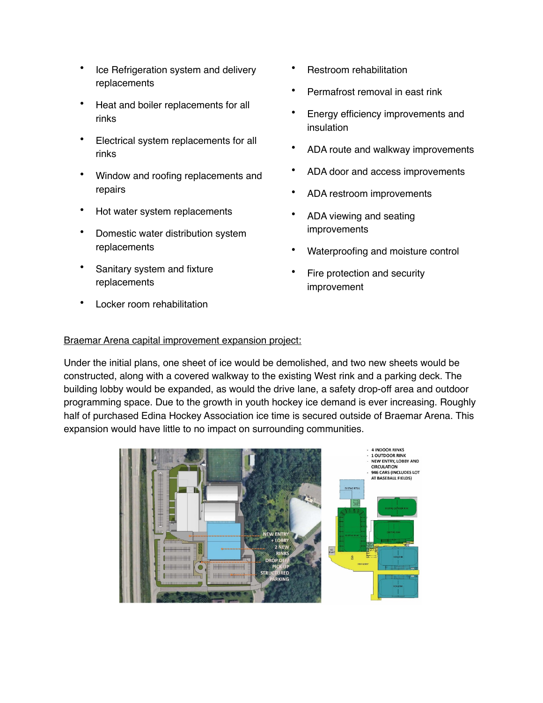- Ice Refrigeration system and delivery replacements
- Heat and boiler replacements for all rinks
- Electrical system replacements for all rinks
- Window and roofing replacements and repairs
- Hot water system replacements
- Domestic water distribution system replacements
- Sanitary system and fixture replacements
- Locker room rehabilitation
- Restroom rehabilitation
- Permafrost removal in east rink
- Energy efficiency improvements and insulation
- ADA route and walkway improvements
- ADA door and access improvements
- ADA restroom improvements
- ADA viewing and seating improvements
- Waterproofing and moisture control
- Fire protection and security improvement

## Braemar Arena capital improvement expansion project:

Under the initial plans, one sheet of ice would be demolished, and two new sheets would be constructed, along with a covered walkway to the existing West rink and a parking deck. The building lobby would be expanded, as would the drive lane, a safety drop-off area and outdoor programming space. Due to the growth in youth hockey ice demand is ever increasing. Roughly half of purchased Edina Hockey Association ice time is secured outside of Braemar Arena. This expansion would have little to no impact on surrounding communities.